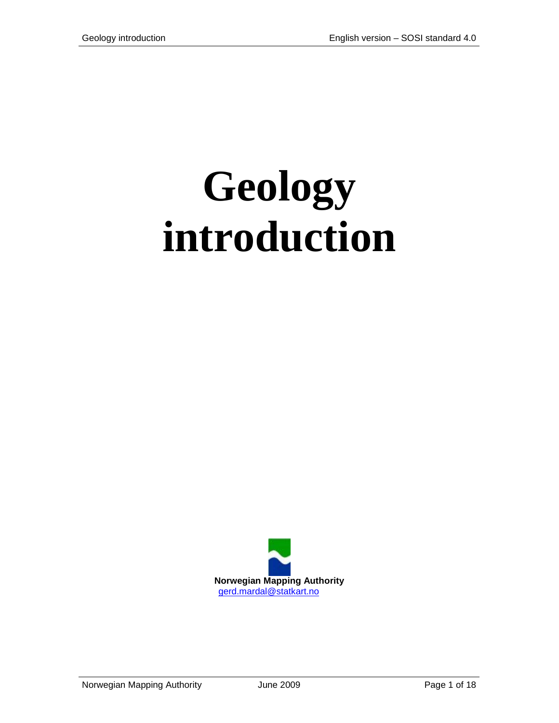# **Geology introduction**

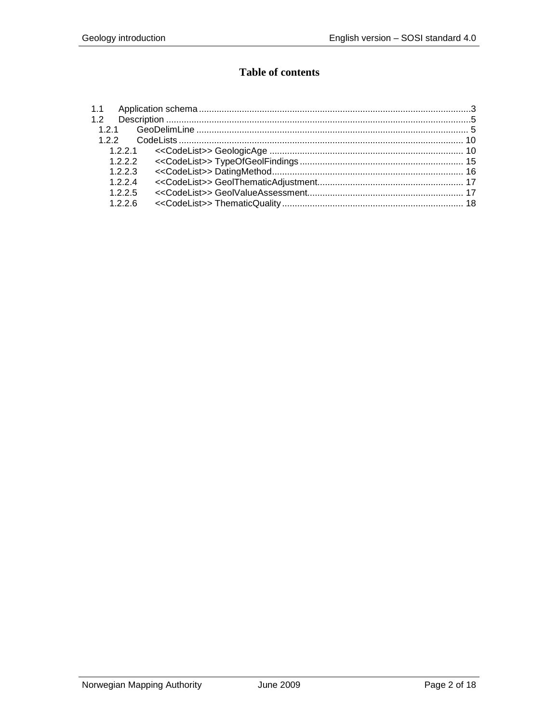## **Table of contents**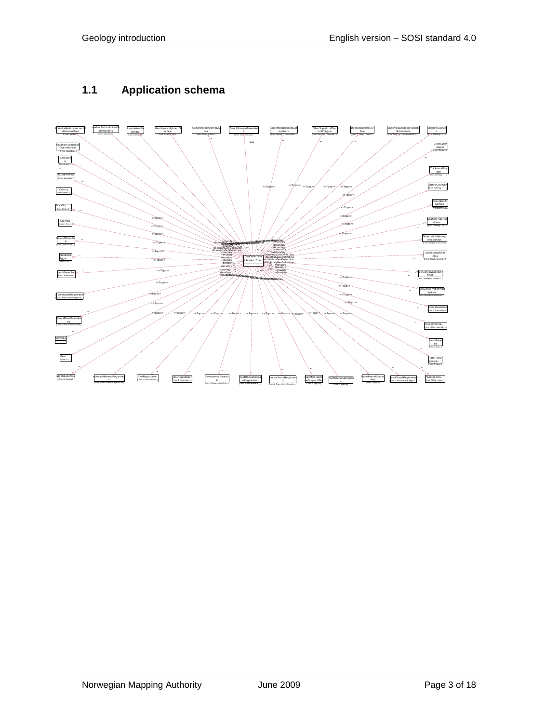# <span id="page-2-0"></span>**1.1 Application schema**

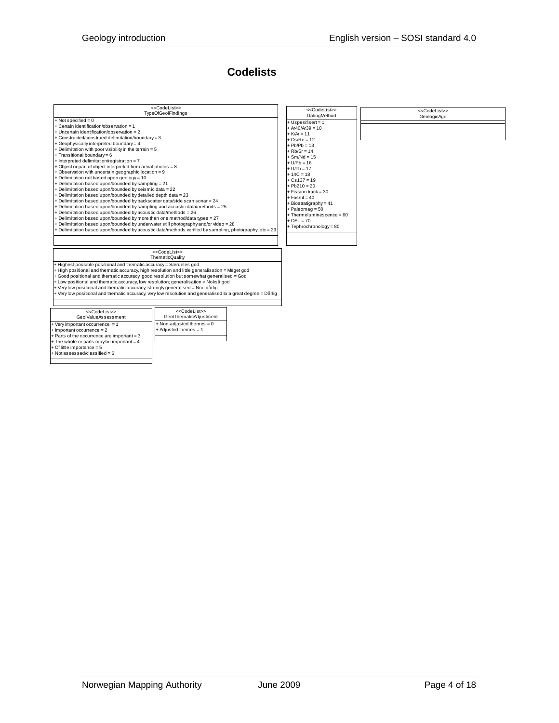#### **Codelists**

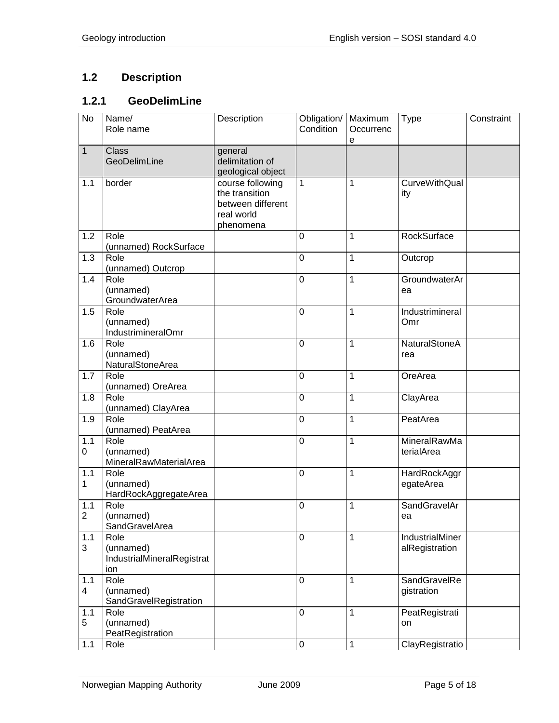# <span id="page-4-0"></span>**1.2 Description**

## <span id="page-4-1"></span>**1.2.1 GeoDelimLine**

| <b>No</b>             | Name/<br>Role name                                     | Description                                                                        | Obligation/<br>Condition | Maximum<br>Occurrenc<br>е | <b>Type</b>                       | Constraint |
|-----------------------|--------------------------------------------------------|------------------------------------------------------------------------------------|--------------------------|---------------------------|-----------------------------------|------------|
| $\mathbf{1}$          | <b>Class</b><br><b>GeoDelimLine</b>                    | general<br>delimitation of<br>geological object                                    |                          |                           |                                   |            |
| 1.1                   | border                                                 | course following<br>the transition<br>between different<br>real world<br>phenomena | 1                        | 1                         | <b>CurveWithQual</b><br>ity       |            |
| 1.2                   | Role<br>(unnamed) RockSurface                          |                                                                                    | $\mathbf 0$              | 1                         | RockSurface                       |            |
| 1.3                   | Role<br>(unnamed) Outcrop                              |                                                                                    | $\mathbf 0$              | 1                         | Outcrop                           |            |
| 1.4                   | Role<br>(unnamed)<br>GroundwaterArea                   |                                                                                    | $\mathbf 0$              | 1                         | GroundwaterAr<br>ea               |            |
| 1.5                   | Role<br>(unnamed)<br>IndustrimineralOmr                |                                                                                    | $\mathbf 0$              | 1                         | Industrimineral<br>Omr            |            |
| 1.6                   | Role<br>(unnamed)<br>NaturalStoneArea                  |                                                                                    | $\mathbf 0$              | 1                         | NaturalStoneA<br>rea              |            |
| 1.7                   | Role<br>(unnamed) OreArea                              |                                                                                    | 0                        | 1                         | OreArea                           |            |
| 1.8                   | Role<br>(unnamed) ClayArea                             |                                                                                    | 0                        | 1                         | ClayArea                          |            |
| 1.9                   | Role<br>(unnamed) PeatArea                             |                                                                                    | $\mathbf 0$              | 1                         | PeatArea                          |            |
| 1.1<br>0              | Role<br>(unnamed)<br>MineralRawMaterialArea            |                                                                                    | 0                        | 1                         | MineralRawMa<br>terialArea        |            |
| 1.1<br>1              | Role<br>(unnamed)<br>HardRockAggregateArea             |                                                                                    | 0                        | 1                         | HardRockAggr<br>egateArea         |            |
| 1.1<br>$\overline{2}$ | Role<br>(unnamed)<br>SandGravelArea                    |                                                                                    | 0                        | 1                         | SandGravelAr<br>ea                |            |
| 1.1<br>3              | Role<br>(unnamed)<br>IndustrialMineralRegistrat<br>ion |                                                                                    | 0                        | 1                         | IndustrialMiner<br>alRegistration |            |
| 1.1<br>4              | Role<br>(unnamed)<br>SandGravelRegistration            |                                                                                    | $\mathbf 0$              | 1                         | SandGravelRe<br>gistration        |            |
| 1.1<br>5              | Role<br>(unnamed)<br>PeatRegistration                  |                                                                                    | $\mathbf 0$              | 1                         | PeatRegistrati<br>on              |            |
| 1.1                   | Role                                                   |                                                                                    | $\pmb{0}$                | $\mathbf{1}$              | ClayRegistratio                   |            |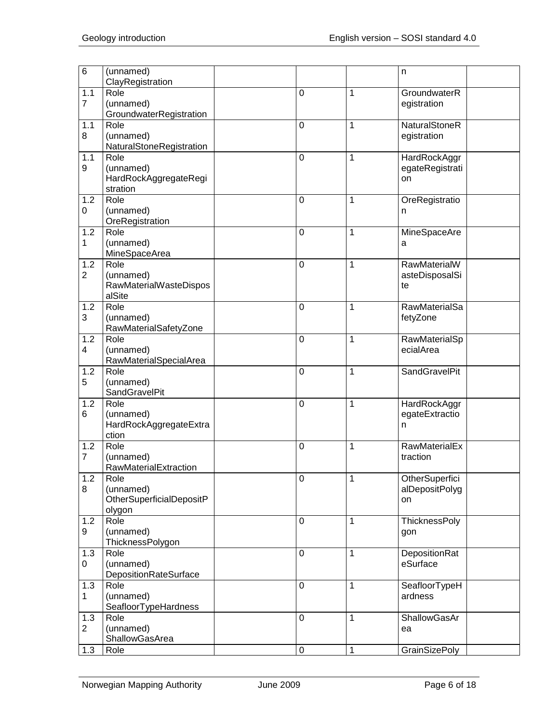| $\,6$          | (unnamed)<br>ClayRegistration |             |              | n                    |
|----------------|-------------------------------|-------------|--------------|----------------------|
| 1.1            | Role                          | 0           | 1            | GroundwaterR         |
| $\overline{7}$ | (unnamed)                     |             |              | egistration          |
|                |                               |             |              |                      |
|                | GroundwaterRegistration       |             |              |                      |
| 1.1            | Role                          | $\mathbf 0$ | 1            | <b>NaturalStoneR</b> |
| 8              | (unnamed)                     |             |              | egistration          |
|                | NaturalStoneRegistration      |             |              |                      |
| 1.1            | Role                          | 0           | 1            | HardRockAggr         |
| 9              | (unnamed)                     |             |              | egateRegistrati      |
|                |                               |             |              |                      |
|                | HardRockAggregateRegi         |             |              | on                   |
|                | stration                      |             |              |                      |
| 1.2            | Role                          | 0           | 1            | OreRegistratio       |
| 0              | (unnamed)                     |             |              | n                    |
|                | OreRegistration               |             |              |                      |
| 1.2            | Role                          | 0           | 1            | MineSpaceAre         |
| 1              | (unnamed)                     |             |              |                      |
|                |                               |             |              | а                    |
|                | MineSpaceArea                 |             |              |                      |
| 1.2            | Role                          | $\mathbf 0$ | $\mathbf{1}$ | RawMaterialW         |
| $\overline{2}$ | (unnamed)                     |             |              | asteDisposalSi       |
|                | <b>RawMaterialWasteDispos</b> |             |              | te                   |
|                | alSite                        |             |              |                      |
| 1.2            | Role                          | 0           | 1            | <b>RawMaterialSa</b> |
| 3              | (unnamed)                     |             |              | fetyZone             |
|                |                               |             |              |                      |
|                | RawMaterialSafetyZone         |             |              |                      |
| 1.2            | Role                          | 0           | 1            | RawMaterialSp        |
| 4              | (unnamed)                     |             |              | ecialArea            |
|                | RawMaterialSpecialArea        |             |              |                      |
| 1.2            | Role                          | 0           | 1            | SandGravelPit        |
| 5              | (unnamed)                     |             |              |                      |
|                |                               |             |              |                      |
|                | SandGravelPit                 |             |              |                      |
| 1.2            | Role                          | 0           | 1            | HardRockAggr         |
| 6              | (unnamed)                     |             |              | egateExtractio       |
|                | HardRockAggregateExtra        |             |              | n                    |
|                | ction                         |             |              |                      |
| 1.2            | Role                          | $\mathbf 0$ | 1            | RawMaterialEx        |
| 7              | (unnamed)                     |             |              | traction             |
|                | RawMaterialExtraction         |             |              |                      |
|                |                               |             |              |                      |
| 1.2            | Role                          | $\pmb{0}$   | 1            | OtherSuperfici       |
| 8              | (unnamed)                     |             |              | alDepositPolyg       |
|                | OtherSuperficialDepositP      |             |              | on                   |
|                | olygon                        |             |              |                      |
| 1.2            | Role                          | $\mathbf 0$ | 1            | <b>ThicknessPoly</b> |
| 9              | (unnamed)                     |             |              |                      |
|                |                               |             |              | gon                  |
|                | ThicknessPolygon              |             |              |                      |
| 1.3            | Role                          | $\mathbf 0$ | $\mathbf{1}$ | DepositionRat        |
| 0              | (unnamed)                     |             |              | eSurface             |
|                | DepositionRateSurface         |             |              |                      |
| 1.3            | Role                          | $\pmb{0}$   | 1            | SeafloorTypeH        |
| 1              | (unnamed)                     |             |              | ardness              |
|                | SeafloorTypeHardness          |             |              |                      |
|                |                               |             |              |                      |
| 1.3            | Role                          | $\mathbf 0$ | 1            | ShallowGasAr         |
| $\overline{c}$ | (unnamed)                     |             |              | ea                   |
|                | ShallowGasArea                |             |              |                      |
| 1.3            | Role                          | $\pmb{0}$   | $\mathbf{1}$ | <b>GrainSizePoly</b> |
|                |                               |             |              |                      |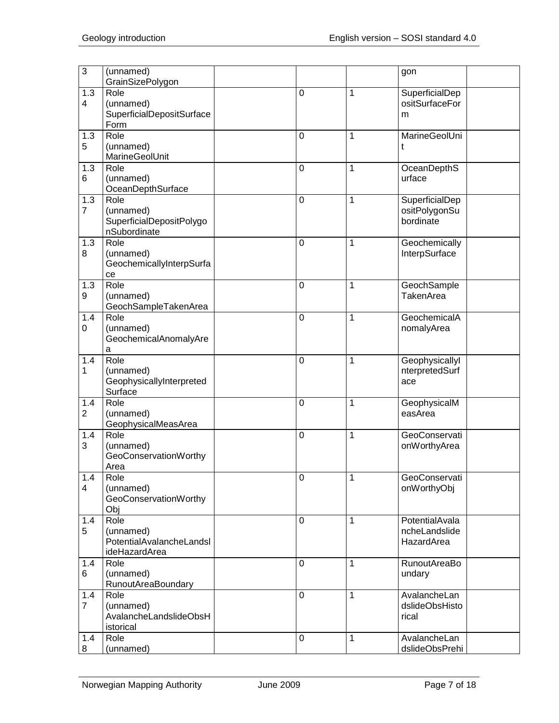| 3              | (unnamed)<br>GrainSizePolygon |             |   | gon                 |
|----------------|-------------------------------|-------------|---|---------------------|
| 1.3            | Role                          | $\mathbf 0$ | 1 | SuperficialDep      |
| $\overline{4}$ | (unnamed)                     |             |   | ositSurfaceFor      |
|                | SuperficialDepositSurface     |             |   |                     |
|                | Form                          |             |   | m                   |
|                |                               |             |   |                     |
| 1.3            | Role                          | 0           | 1 | MarineGeolUni       |
| 5              | (unnamed)                     |             |   | t                   |
|                | MarineGeolUnit                |             |   |                     |
| 1.3            | Role                          | 0           | 1 | OceanDepthS         |
| 6              | (unnamed)                     |             |   | urface              |
|                | OceanDepthSurface             |             |   |                     |
| 1.3            | Role                          | 0           | 1 | SuperficialDep      |
| $\overline{7}$ | (unnamed)                     |             |   | ositPolygonSu       |
|                | SuperficialDepositPolygo      |             |   | bordinate           |
|                | nSubordinate                  |             |   |                     |
| 1.3            | Role                          | 0           | 1 | Geochemically       |
| 8              | (unnamed)                     |             |   | InterpSurface       |
|                | GeochemicallyInterpSurfa      |             |   |                     |
|                | ce                            |             |   |                     |
| 1.3            | Role                          | 0           | 1 | GeochSample         |
| 9              | (unnamed)                     |             |   | <b>TakenArea</b>    |
|                | GeochSampleTakenArea          |             |   |                     |
| 1.4            | Role                          | 0           | 1 | GeochemicalA        |
| 0              | (unnamed)                     |             |   | nomalyArea          |
|                | GeochemicalAnomalyAre         |             |   |                     |
|                | a                             |             |   |                     |
| 1.4            | Role                          | 0           | 1 |                     |
|                | (unnamed)                     |             |   | Geophysicallyl      |
| 1              |                               |             |   | nterpretedSurf      |
|                | GeophysicallyInterpreted      |             |   | ace                 |
|                | Surface                       |             |   |                     |
| 1.4            | Role                          | 0           | 1 | GeophysicalM        |
| $\overline{2}$ | (unnamed)                     |             |   | easArea             |
|                | GeophysicalMeasArea           |             |   |                     |
| 1.4            | Role                          | 0           | 1 | GeoConservati       |
| 3              | (unnamed)                     |             |   | onWorthyArea        |
|                | GeoConservationWorthy         |             |   |                     |
|                | Area                          |             |   |                     |
| 1.4            | Role                          | $\pmb{0}$   | 1 | GeoConservati       |
| 4              | (unnamed)                     |             |   | onWorthyObj         |
|                | GeoConservationWorthy         |             |   |                     |
|                | Obj                           |             |   |                     |
| 1.4            | Role                          | $\mathbf 0$ | 1 | PotentialAvala      |
| 5              | (unnamed)                     |             |   | ncheLandslide       |
|                | PotentialAvalancheLandsl      |             |   | HazardArea          |
|                | ideHazardArea                 |             |   |                     |
| 1.4            | Role                          | 0           | 1 | <b>RunoutAreaBo</b> |
| 6              | (unnamed)                     |             |   | undary              |
|                | RunoutAreaBoundary            |             |   |                     |
| 1.4            | Role                          | $\mathbf 0$ | 1 | AvalancheLan        |
| $\overline{7}$ | (unnamed)                     |             |   | dslideObsHisto      |
|                | AvalancheLandslideObsH        |             |   | rical               |
|                | istorical                     |             |   |                     |
| 1.4            | Role                          | 0           | 1 | AvalancheLan        |
| 8              | (unnamed)                     |             |   | dslideObsPrehi      |
|                |                               |             |   |                     |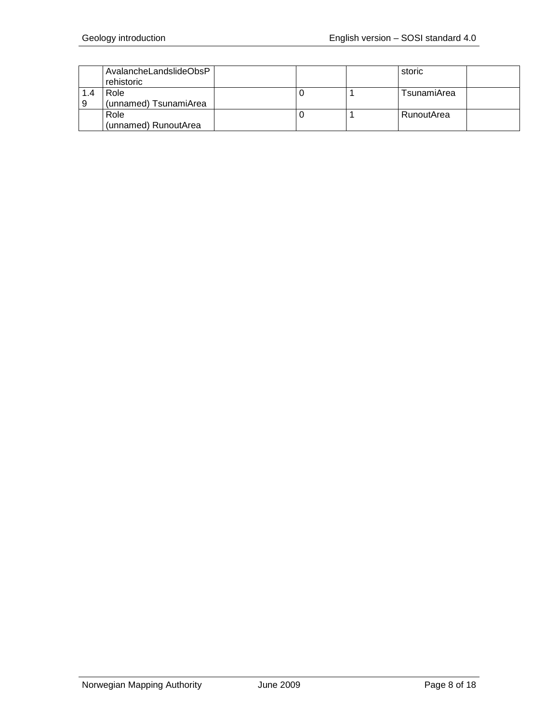|          | AvalancheLandslideObsP<br>rehistoric |  | storic      |
|----------|--------------------------------------|--|-------------|
| 1.4<br>9 | Role<br>(unnamed) TsunamiArea        |  | TsunamiArea |
|          | Role<br>(unnamed) RunoutArea         |  | RunoutArea  |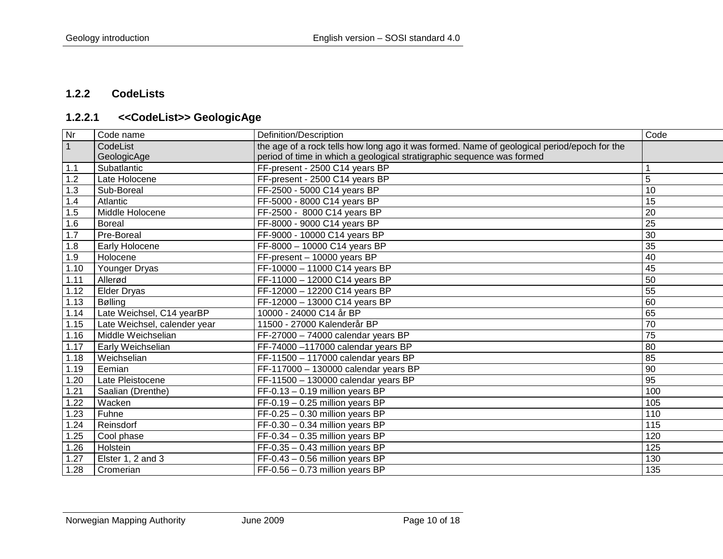#### **1.2.2 CodeLists**

# **1.2.2.1 <<CodeList>> GeologicAge**

<span id="page-9-1"></span><span id="page-9-0"></span>

| Nr           | Code name                    | Definition/Description                                                                      | Code            |
|--------------|------------------------------|---------------------------------------------------------------------------------------------|-----------------|
| $\mathbf{1}$ | CodeList                     | the age of a rock tells how long ago it was formed. Name of geological period/epoch for the |                 |
|              | GeologicAge                  | period of time in which a geological stratigraphic sequence was formed                      |                 |
| 1.1          | Subatlantic                  | FF-present - 2500 C14 years BP                                                              |                 |
| 1.2          | Late Holocene                | FF-present - 2500 C14 years BP                                                              | 5               |
| 1.3          | Sub-Boreal                   | FF-2500 - 5000 C14 years BP                                                                 | $\overline{10}$ |
| 1.4          | Atlantic                     | FF-5000 - 8000 C14 years BP                                                                 | 15              |
| 1.5          | Middle Holocene              | FF-2500 - 8000 C14 years BP                                                                 | 20              |
| 1.6          | <b>Boreal</b>                | FF-8000 - 9000 C14 years BP                                                                 | 25              |
| 1.7          | Pre-Boreal                   | FF-9000 - 10000 C14 years BP                                                                | 30              |
| 1.8          | Early Holocene               | FF-8000 - 10000 C14 years BP                                                                | $\overline{35}$ |
| 1.9          | Holocene                     | FF-present - 10000 years BP                                                                 | 40              |
| 1.10         | Younger Dryas                | FF-10000 - 11000 C14 years BP                                                               | 45              |
| 1.11         | Allerød                      | FF-11000 - 12000 C14 years BP                                                               | 50              |
| 1.12         | <b>Elder Dryas</b>           | FF-12000 - 12200 C14 years BP                                                               | 55              |
| 1.13         | Bølling                      | FF-12000 - 13000 C14 years BP                                                               | 60              |
| 1.14         | Late Weichsel, C14 yearBP    | 10000 - 24000 C14 år BP                                                                     | 65              |
| 1.15         | Late Weichsel, calender year | 11500 - 27000 Kalenderår BP                                                                 | $\overline{70}$ |
| 1.16         | Middle Weichselian           | $FF-27000-74000$ calendar years BP                                                          | 75              |
| 1.17         | Early Weichselian            | FF-74000-117000 calendar years BP                                                           | 80              |
| 1.18         | Weichselian                  | FF-11500 - 117000 calendar years BP                                                         | 85              |
| 1.19         | Eemian                       | FF-117000 - 130000 calendar years BP                                                        | 90              |
| 1.20         | Late Pleistocene             | FF-11500 - 130000 calendar years BP                                                         | $\overline{95}$ |
| 1.21         | Saalian (Drenthe)            | $FF-0.13 - 0.19$ million years BP                                                           | 100             |
| 1.22         | Wacken                       | $FF-0.19 - 0.25$ million years BP                                                           | 105             |
| 1.23         | Fuhne                        | $FF-0.25 - 0.30$ million years BP                                                           | 110             |
| 1.24         | Reinsdorf                    | $FF-0.30 - 0.34$ million years BP                                                           | 115             |
| 1.25         | Cool phase                   | $FF-0.34 - 0.35$ million years BP                                                           | 120             |
| 1.26         | Holstein                     | $FF-0.35 - 0.43$ million years BP                                                           | 125             |
| 1.27         | Elster 1, 2 and 3            | $FF-0.43 - 0.56$ million years BP                                                           | 130             |
| 1.28         | Cromerian                    | $FF-0.56 - 0.73$ million years BP                                                           | 135             |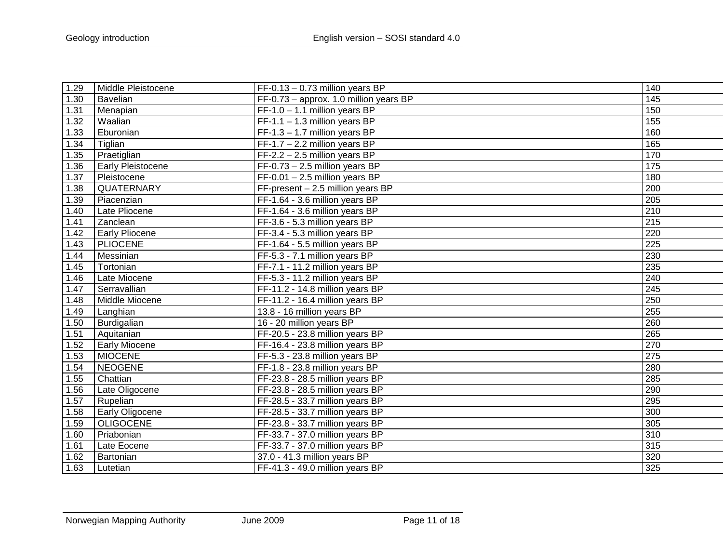| 1.29   | Middle Pleistocene    | $FF-0.13 - 0.73$ million years BP      | 140 |
|--------|-----------------------|----------------------------------------|-----|
| 1.30   | Bavelian              | FF-0.73 - approx. 1.0 million years BP | 145 |
| 1.31   | Menapian              | $FF-1.0 - 1.1$ million years BP        | 150 |
| 1.32   | Waalian               | $FF-1.1 - 1.3$ million years BP        | 155 |
| 1.33   | Eburonian             | $FF-1.3 - 1.7$ million years BP        | 160 |
| 1.34   | Tiglian               | $FF-1.7 - 2.2$ million years BP        | 165 |
| 1.35   | Praetiglian           | $FF-2.2 - 2.5$ million years BP        | 170 |
| 1.36   | Early Pleistocene     | $FF-0.73 - 2.5$ million years BP       | 175 |
| 1.37   | Pleistocene           | $FF-0.01 - 2.5$ million years BP       | 180 |
| 1.38   | QUATERNARY            | $FF-present - 2.5$ million years BP    | 200 |
| 1.39   | Piacenzian            | FF-1.64 - 3.6 million years BP         | 205 |
| 1.40   | Late Pliocene         | FF-1.64 - 3.6 million years BP         | 210 |
| 1.41   | Zanclean              | FF-3.6 - 5.3 million years BP          | 215 |
| 1.42   | <b>Early Pliocene</b> | FF-3.4 - 5.3 million years BP          | 220 |
| 1.43   | <b>PLIOCENE</b>       | FF-1.64 - 5.5 million years BP         | 225 |
| 1.44   | Messinian             | FF-5.3 - 7.1 million years BP          | 230 |
| 1.45   | Tortonian             | FF-7.1 - 11.2 million years BP         | 235 |
| 1.46   | Late Miocene          | FF-5.3 - 11.2 million years BP         | 240 |
| 1.47   | Serravallian          | FF-11.2 - 14.8 million years BP        | 245 |
| 1.48   | Middle Miocene        | FF-11.2 - 16.4 million years BP        | 250 |
| 1.49   | Langhian              | 13.8 - 16 million years BP             | 255 |
| 1.50   | Burdigalian           | 16 - 20 million years BP               | 260 |
| 1.51   | Aquitanian            | FF-20.5 - 23.8 million years BP        | 265 |
| 1.52   | <b>Early Miocene</b>  | FF-16.4 - 23.8 million years BP        | 270 |
| 1.53   | <b>MIOCENE</b>        | FF-5.3 - 23.8 million years BP         | 275 |
| 1.54   | <b>NEOGENE</b>        | FF-1.8 - 23.8 million years BP         | 280 |
| 1.55   | Chattian              | FF-23.8 - 28.5 million years BP        | 285 |
| 1.56   | Late Oligocene        | FF-23.8 - 28.5 million years BP        | 290 |
| $1.57$ | Rupelian              | FF-28.5 - 33.7 million years BP        | 295 |
| 1.58   | Early Oligocene       | FF-28.5 - 33.7 million years BP        | 300 |
| 1.59   | <b>OLIGOCENE</b>      | FF-23.8 - 33.7 million years BP        | 305 |
| 1.60   | Priabonian            | FF-33.7 - 37.0 million years BP        | 310 |
| 1.61   | Late Eocene           | FF-33.7 - 37.0 million years BP        | 315 |
| 1.62   | Bartonian             | 37.0 - 41.3 million years BP           | 320 |
| 1.63   | Lutetian              | FF-41.3 - 49.0 million years BP        | 325 |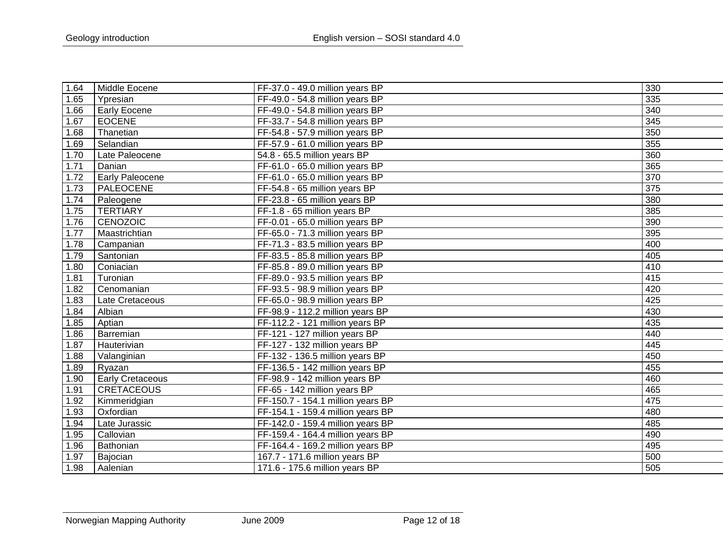| 1.64 | Middle Eocene           | FF-37.0 - 49.0 million years BP   | 330              |
|------|-------------------------|-----------------------------------|------------------|
| 1.65 | Ypresian                | FF-49.0 - 54.8 million years BP   | 335              |
| 1.66 | <b>Early Eocene</b>     | FF-49.0 - 54.8 million years BP   | 340              |
| 1.67 | <b>EOCENE</b>           | FF-33.7 - 54.8 million years BP   | 345              |
| 1.68 | Thanetian               | FF-54.8 - 57.9 million years BP   | 350              |
| 1.69 | Selandian               | FF-57.9 - 61.0 million years BP   | 355              |
| 1.70 | Late Paleocene          | 54.8 - 65.5 million years BP      | 360              |
| 1.71 | Danian                  | FF-61.0 - 65.0 million years BP   | 365              |
| 1.72 | <b>Early Paleocene</b>  | FF-61.0 - 65.0 million years BP   | 370              |
| 1.73 | PALEOCENE               | FF-54.8 - 65 million years BP     | 375              |
| 1.74 | Paleogene               | FF-23.8 - 65 million years BP     | 380              |
| 1.75 | <b>TERTIARY</b>         | FF-1.8 - 65 million years BP      | 385              |
| 1.76 | <b>CENOZOIC</b>         | FF-0.01 - 65.0 million years BP   | 390              |
| 1.77 | Maastrichtian           | FF-65.0 - 71.3 million years BP   | 395              |
| 1.78 | Campanian               | FF-71.3 - 83.5 million years BP   | 400              |
| 1.79 | Santonian               | FF-83.5 - 85.8 million years BP   | $\overline{405}$ |
| 1.80 | Coniacian               | FF-85.8 - 89.0 million years BP   | 410              |
| 1.81 | Turonian                | FF-89.0 - 93.5 million years BP   | 415              |
| 1.82 | Cenomanian              | FF-93.5 - 98.9 million years BP   | 420              |
| 1.83 | Late Cretaceous         | FF-65.0 - 98.9 million years BP   | 425              |
| 1.84 | Albian                  | FF-98.9 - 112.2 million years BP  | 430              |
| 1.85 | Aptian                  | FF-112.2 - 121 million years BP   | 435              |
| 1.86 | Barremian               | FF-121 - 127 million years BP     | 440              |
| 1.87 | Hauterivian             | FF-127 - 132 million years BP     | 445              |
| 1.88 | Valanginian             | FF-132 - 136.5 million years BP   | 450              |
| 1.89 | Ryazan                  | FF-136.5 - 142 million years BP   | 455              |
| 1.90 | <b>Early Cretaceous</b> | FF-98.9 - 142 million years BP    | 460              |
| 1.91 | <b>CRETACEOUS</b>       | FF-65 - 142 million years BP      | 465              |
| 1.92 | Kimmeridgian            | FF-150.7 - 154.1 million years BP | 475              |
| 1.93 | Oxfordian               | FF-154.1 - 159.4 million years BP | 480              |
| 1.94 | Late Jurassic           | FF-142.0 - 159.4 million years BP | 485              |
| 1.95 | Callovian               | FF-159.4 - 164.4 million years BP | 490              |
| 1.96 | Bathonian               | FF-164.4 - 169.2 million years BP | 495              |
| 1.97 | Bajocian                | 167.7 - 171.6 million years BP    | 500              |
| 1.98 | Aalenian                | 171.6 - 175.6 million years BP    | 505              |
|      |                         |                                   |                  |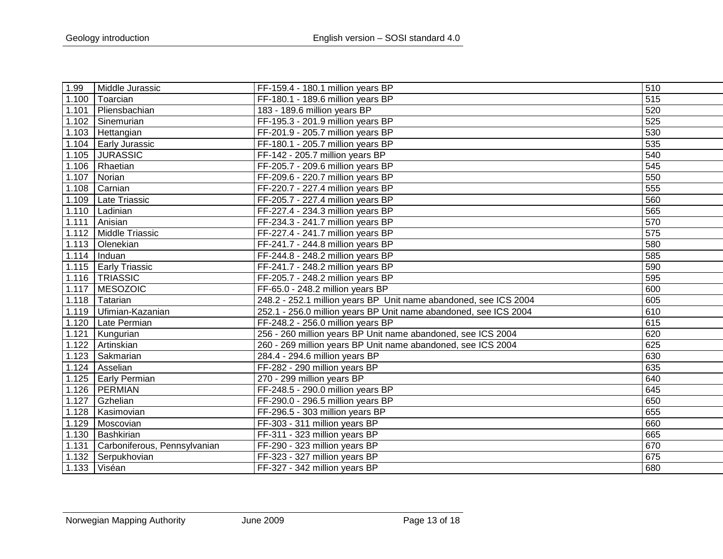| 1.99  | Middle Jurassic              | FF-159.4 - 180.1 million years BP                                | 510 |
|-------|------------------------------|------------------------------------------------------------------|-----|
| 1.100 | Toarcian                     | FF-180.1 - 189.6 million years BP                                | 515 |
| 1.101 | Pliensbachian                | 183 - 189.6 million years BP                                     | 520 |
| 1.102 | Sinemurian                   | FF-195.3 - 201.9 million years BP                                | 525 |
| 1.103 | Hettangian                   | FF-201.9 - 205.7 million years BP                                | 530 |
| 1.104 | <b>Early Jurassic</b>        | FF-180.1 - 205.7 million years BP                                | 535 |
| 1.105 | <b>JURASSIC</b>              | FF-142 - 205.7 million years BP                                  | 540 |
| 1.106 | Rhaetian                     | FF-205.7 - 209.6 million years BP                                | 545 |
| 1.107 | Norian                       | FF-209.6 - 220.7 million years BP                                | 550 |
| 1.108 | Carnian                      | FF-220.7 - 227.4 million years BP                                | 555 |
| 1.109 | Late Triassic                | FF-205.7 - 227.4 million years BP                                | 560 |
| 1.110 | Ladinian                     | FF-227.4 - 234.3 million years BP                                | 565 |
| 1.111 | Anisian                      | FF-234.3 - 241.7 million years BP                                | 570 |
|       | 1.112 Middle Triassic        | FF-227.4 - 241.7 million years BP                                | 575 |
| 1.113 | Olenekian                    | FF-241.7 - 244.8 million years BP                                | 580 |
|       | $1.114$ Induan               | FF-244.8 - 248.2 million years BP                                | 585 |
|       | 1.115   Early Triassic       | FF-241.7 - 248.2 million years BP                                | 590 |
|       | 1.116   TRIASSIC             | FF-205.7 - 248.2 million years BP                                | 595 |
| 1.117 | MESOZOIC                     | FF-65.0 - 248.2 million years BP                                 | 600 |
|       | 1.118 Tatarian               | 248.2 - 252.1 million years BP Unit name abandoned, see ICS 2004 | 605 |
| 1.119 | Ufimian-Kazanian             | 252.1 - 256.0 million years BP Unit name abandoned, see ICS 2004 | 610 |
| 1.120 | Late Permian                 | FF-248.2 - 256.0 million years BP                                | 615 |
| 1.121 | Kungurian                    | 256 - 260 million years BP Unit name abandoned, see ICS 2004     | 620 |
| 1.122 | Artinskian                   | 260 - 269 million years BP Unit name abandoned, see ICS 2004     | 625 |
| 1.123 | Sakmarian                    | 284.4 - 294.6 million years BP                                   | 630 |
| 1.124 | Asselian                     | FF-282 - 290 million years BP                                    | 635 |
| 1.125 | <b>Early Permian</b>         | 270 - 299 million years BP                                       | 640 |
| 1.126 | <b>PERMIAN</b>               | FF-248.5 - 290.0 million years BP                                | 645 |
| 1.127 | Gzhelian                     | FF-290.0 - 296.5 million years BP                                | 650 |
| 1.128 | Kasimovian                   | FF-296.5 - 303 million years BP                                  | 655 |
| 1.129 | Moscovian                    | FF-303 - 311 million years BP                                    | 660 |
| 1.130 | Bashkirian                   | FF-311 - 323 million years BP                                    | 665 |
| 1.131 | Carboniferous, Pennsylvanian | FF-290 - 323 million years BP                                    | 670 |
| 1.132 | Serpukhovian                 | FF-323 - 327 million years BP                                    | 675 |
|       | 1.133 Viséan                 | FF-327 - 342 million years BP                                    | 680 |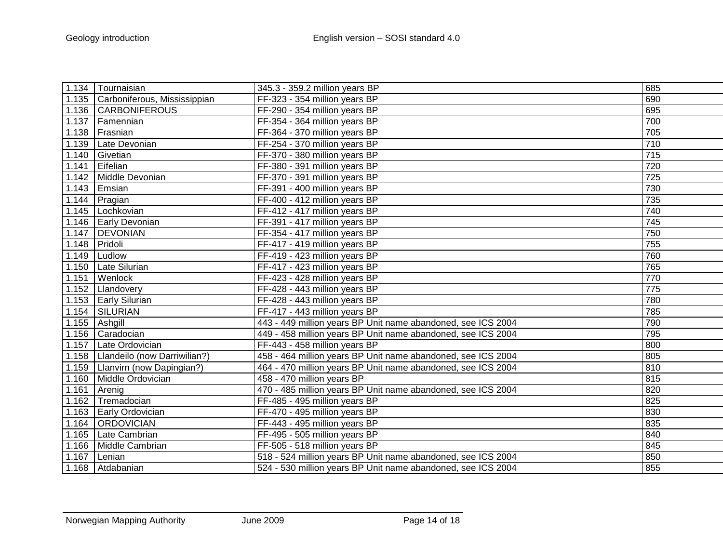|       | 1.134 Tournaisian                  | 345.3 - 359.2 million years BP                               | 685              |
|-------|------------------------------------|--------------------------------------------------------------|------------------|
|       | 1.135 Carboniferous, Mississippian | FF-323 - 354 million years BP                                | 690              |
| 1.136 | <b>CARBONIFEROUS</b>               | FF-290 - 354 million years BP                                | 695              |
| 1.137 | Famennian                          | FF-354 - 364 million years BP                                | 700              |
| 1.138 | Frasnian                           | FF-364 - 370 million years BP                                | 705              |
| 1.139 | Late Devonian                      | FF-254 - 370 million years BP                                | 710              |
| 1.140 | Givetian                           | FF-370 - 380 million years BP                                | $\overline{715}$ |
| 1.141 | Eifelian                           | FF-380 - 391 million years BP                                | 720              |
| 1.142 | Middle Devonian                    | FF-370 - 391 million years BP                                | 725              |
| 1.143 | Emsian                             | FF-391 - 400 million years BP                                | 730              |
| 1.144 | Pragian                            | FF-400 - 412 million years BP                                | 735              |
| 1.145 | Lochkovian                         | FF-412 - 417 million years BP                                | 740              |
| 1.146 | <b>Early Devonian</b>              | FF-391 - 417 million years BP                                | $\overline{745}$ |
| 1.147 | DEVONIAN                           | FF-354 - 417 million years BP                                | 750              |
| 1.148 | Pridoli                            | FF-417 - 419 million years BP                                | 755              |
| 1.149 | Ludlow                             | FF-419 - 423 million years BP                                | 760              |
| 1.150 | Late Silurian                      | FF-417 - 423 million years BP                                | 765              |
| 1.151 | Wenlock                            | FF-423 - 428 million years BP                                | 770              |
| 1.152 | Llandovery                         | FF-428 - 443 million years BP                                | 775              |
| 1.153 | <b>Early Silurian</b>              | FF-428 - 443 million years BP                                | 780              |
| 1.154 | SILURIAN                           | FF-417 - 443 million years BP                                | 785              |
| 1.155 | Ashgill                            | 443 - 449 million years BP Unit name abandoned, see ICS 2004 | 790              |
| 1.156 | Caradocian                         | 449 - 458 million years BP Unit name abandoned, see ICS 2004 | 795              |
| 1.157 | Late Ordovician                    | FF-443 - 458 million years BP                                | 800              |
| 1.158 | Llandeilo (now Darriwilian?)       | 458 - 464 million years BP Unit name abandoned, see ICS 2004 | 805              |
| 1.159 | Llanvirn (now Dapingian?)          | 464 - 470 million years BP Unit name abandoned, see ICS 2004 | 810              |
| 1.160 | Middle Ordovician                  | 458 - 470 million years BP                                   | 815              |
| 1.161 | Arenig                             | 470 - 485 million years BP Unit name abandoned, see ICS 2004 | 820              |
| 1.162 | Tremadocian                        | FF-485 - 495 million years BP                                | 825              |
| 1.163 | <b>Early Ordovician</b>            | FF-470 - 495 million years BP                                | 830              |
| 1.164 | <b>ORDOVICIAN</b>                  | FF-443 - 495 million years BP                                | 835              |
| 1.165 | Late Cambrian                      | FF-495 - 505 million years BP                                | 840              |
| 1.166 | Middle Cambrian                    | FF-505 - 518 million years BP                                | 845              |
| 1.167 | Lenian                             | 518 - 524 million years BP Unit name abandoned, see ICS 2004 | 850              |
|       | 1.168 Atdabanian                   | 524 - 530 million years BP Unit name abandoned, see ICS 2004 | 855              |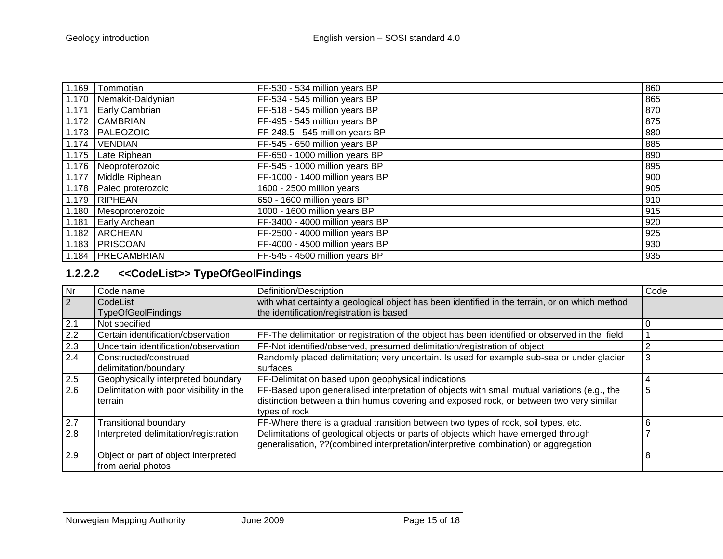| 1.169 | Tommotian               | FF-530 - 534 million years BP   | 860 |
|-------|-------------------------|---------------------------------|-----|
|       | 1.170 Nemakit-Daldynian | FF-534 - 545 million years BP   | 865 |
|       | 1.171 Early Cambrian    | FF-518 - 545 million years BP   | 870 |
|       | 1.172 CAMBRIAN          | FF-495 - 545 million years BP   | 875 |
|       | 1.173   PALEOZOIC       | FF-248.5 - 545 million years BP | 880 |
|       | $1.174$ VENDIAN         | FF-545 - 650 million years BP   | 885 |
|       | 1.175   Late Riphean    | FF-650 - 1000 million years BP  | 890 |
|       | 1.176 Neoproterozoic    | FF-545 - 1000 million years BP  | 895 |
|       | 1.177 Middle Riphean    | FF-1000 - 1400 million years BP | 900 |
|       | 1.178 Paleo proterozoic | 1600 - 2500 million years       | 905 |
|       | $1.179$ RIPHEAN         | 650 - 1600 million years BP     | 910 |
|       | 1.180   Mesoproterozoic | 1000 - 1600 million years BP    | 915 |
|       | 1.181 Early Archean     | FF-3400 - 4000 million years BP | 920 |
| 1.182 | <b>ARCHEAN</b>          | FF-2500 - 4000 million years BP | 925 |
|       | 1.183   PRISCOAN        | FF-4000 - 4500 million years BP | 930 |
|       | 1.184   PRECAMBRIAN     | FF-545 - 4500 million years BP  | 935 |

# **1.2.2.2 <<CodeList>> TypeOfGeolFindings**

<span id="page-14-0"></span>

| Nr      | Code name                                | Definition/Description                                                                         | Code |
|---------|------------------------------------------|------------------------------------------------------------------------------------------------|------|
| 2       | CodeList                                 | with what certainty a geological object has been identified in the terrain, or on which method |      |
|         | <b>TypeOfGeolFindings</b>                | the identification/registration is based                                                       |      |
| 2.1     | Not specified                            |                                                                                                |      |
| $2.2\,$ | Certain identification/observation       | FF-The delimitation or registration of the object has been identified or observed in the field |      |
| $2.3\,$ | Uncertain identification/observation     | FF-Not identified/observed, presumed delimitation/registration of object                       | ົ    |
| 2.4     | Constructed/construed                    | Randomly placed delimitation; very uncertain. Is used for example sub-sea or under glacier     | 3    |
|         | delimitation/boundary                    | surfaces                                                                                       |      |
| 2.5     | Geophysically interpreted boundary       | FF-Delimitation based upon geophysical indications                                             | 4    |
| 2.6     | Delimitation with poor visibility in the | FF-Based upon generalised interpretation of objects with small mutual variations (e.g., the    | 5    |
|         | terrain                                  | distinction between a thin humus covering and exposed rock, or between two very similar        |      |
|         |                                          | types of rock                                                                                  |      |
| 2.7     | <b>Transitional boundary</b>             | FF-Where there is a gradual transition between two types of rock, soil types, etc.             | 6    |
| 2.8     | Interpreted delimitation/registration    | Delimitations of geological objects or parts of objects which have emerged through             |      |
|         |                                          | generalisation, ??(combined interpretation/interpretive combination) or aggregation            |      |
| 2.9     | Object or part of object interpreted     |                                                                                                | 8    |
|         | from aerial photos                       |                                                                                                |      |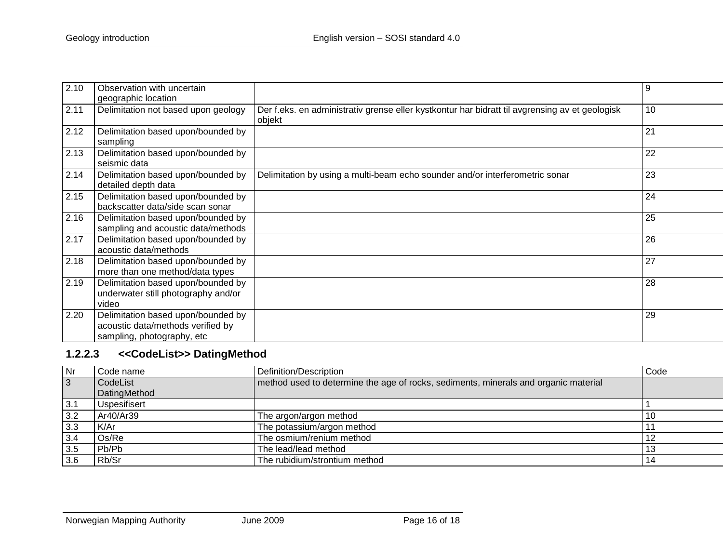| 2.10 | Observation with uncertain          |                                                                                                | 9  |
|------|-------------------------------------|------------------------------------------------------------------------------------------------|----|
|      | geographic location                 |                                                                                                |    |
| 2.11 | Delimitation not based upon geology | Der f.eks. en administrativ grense eller kystkontur har bidratt til avgrensing av et geologisk | 10 |
|      |                                     | objekt                                                                                         |    |
| 2.12 | Delimitation based upon/bounded by  |                                                                                                | 21 |
|      | sampling                            |                                                                                                |    |
| 2.13 | Delimitation based upon/bounded by  |                                                                                                | 22 |
|      | seismic data                        |                                                                                                |    |
| 2.14 | Delimitation based upon/bounded by  | Delimitation by using a multi-beam echo sounder and/or interferometric sonar                   | 23 |
|      | detailed depth data                 |                                                                                                |    |
| 2.15 | Delimitation based upon/bounded by  |                                                                                                | 24 |
|      | backscatter data/side scan sonar    |                                                                                                |    |
| 2.16 | Delimitation based upon/bounded by  |                                                                                                | 25 |
|      | sampling and acoustic data/methods  |                                                                                                |    |
| 2.17 | Delimitation based upon/bounded by  |                                                                                                | 26 |
|      | acoustic data/methods               |                                                                                                |    |
| 2.18 | Delimitation based upon/bounded by  |                                                                                                | 27 |
|      | more than one method/data types     |                                                                                                |    |
| 2.19 | Delimitation based upon/bounded by  |                                                                                                | 28 |
|      | underwater still photography and/or |                                                                                                |    |
|      | video                               |                                                                                                |    |
| 2.20 | Delimitation based upon/bounded by  |                                                                                                | 29 |
|      | acoustic data/methods verified by   |                                                                                                |    |
|      | sampling, photography, etc          |                                                                                                |    |

## **1.2.2.3 <<CodeList>> DatingMethod**

<span id="page-15-0"></span>

| Nr  | Code name           | Definition/Description                                                              | Code |
|-----|---------------------|-------------------------------------------------------------------------------------|------|
| 3   | CodeList            | method used to determine the age of rocks, sediments, minerals and organic material |      |
|     | DatingMethod        |                                                                                     |      |
| 3.1 | <b>Uspesifisert</b> |                                                                                     |      |
| 3.2 | Ar40/Ar39           | The argon/argon method                                                              | 10   |
| 3.3 | K/Ar                | The potassium/argon method                                                          |      |
| 3.4 | Os/Re               | The osmium/renium method                                                            | -12  |
| 3.5 | Pb/Pb               | The lead/lead method                                                                | 13   |
|     | Rb/Sr               | The rubidium/strontium method                                                       | 14   |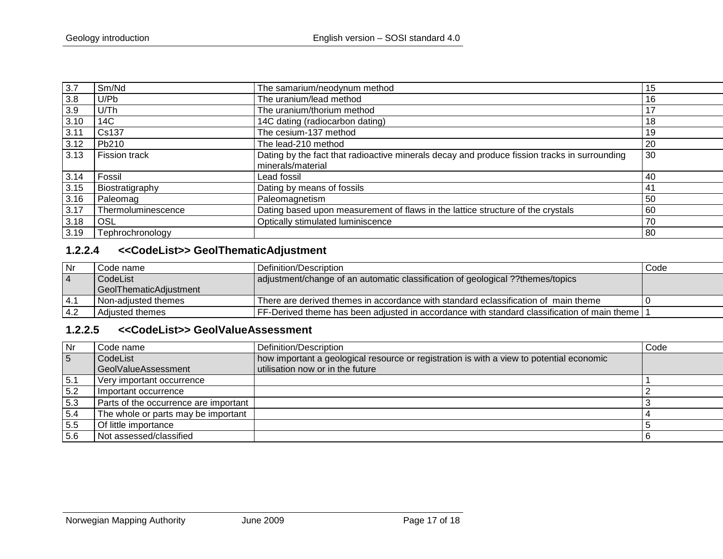| 3.7  | Sm/Nd              | The samarium/neodynum method                                                                 | 15  |
|------|--------------------|----------------------------------------------------------------------------------------------|-----|
| 3.8  | U/Pb               | The uranium/lead method                                                                      | 16  |
| 3.9  | U/Th               | The uranium/thorium method                                                                   |     |
| 3.10 | 14C                | 14C dating (radiocarbon dating)                                                              | 18  |
| 3.11 | Cs137              | The cesium-137 method                                                                        | 19  |
| 3.12 | Pb210              | The lead-210 method                                                                          | 20  |
| 3.13 | Fission track      | Dating by the fact that radioactive minerals decay and produce fission tracks in surrounding | 30  |
|      |                    | minerals/material                                                                            |     |
| 3.14 | Fossil             | Lead fossil                                                                                  | -40 |
| 3.15 | Biostratigraphy    | Dating by means of fossils                                                                   | 41  |
| 3.16 | Paleomag           | Paleomagnetism                                                                               | 50  |
| 3.17 | Thermoluminescence | Dating based upon measurement of flaws in the lattice structure of the crystals              | 60  |
| 3.18 | OSL                | Optically stimulated luminiscence                                                            | 70  |
| 3.19 | Tephrochronology   |                                                                                              | 80  |

#### **1.2.2.4 <<CodeList>> GeolThematicAdjustment**

| Nr             | Code name              | Definition/Description                                                                          | Code |
|----------------|------------------------|-------------------------------------------------------------------------------------------------|------|
| $\overline{4}$ | CodeList               | adjustment/change of an automatic classification of geological ??themes/topics                  |      |
|                | GeolThematicAdjustment |                                                                                                 |      |
| 14.1           | l Non-adiusted themes  | There are derived themes in accordance with standard eclassification of main theme              |      |
| 4.2            | Adiusted themes        | FF-Derived theme has been adjusted in accordance with standard classification of main theme   1 |      |

#### **1.2.2.5 <<CodeList>> GeolValueAssessment**

<span id="page-16-1"></span><span id="page-16-0"></span>

| Nr  | Code name                             | Definition/Description                                                                   | Code |
|-----|---------------------------------------|------------------------------------------------------------------------------------------|------|
| 5   | CodeList                              | how important a geological resource or registration is with a view to potential economic |      |
|     | GeolValueAssessment                   | utilisation now or in the future                                                         |      |
| 5.1 | Very important occurrence             |                                                                                          |      |
| 5.2 | Important occurrence                  |                                                                                          |      |
| 5.3 | Parts of the occurrence are important |                                                                                          |      |
| 5.4 | The whole or parts may be important   |                                                                                          |      |
| 5.5 | Of little importance                  |                                                                                          |      |
| 5.6 | Not assessed/classified               |                                                                                          |      |